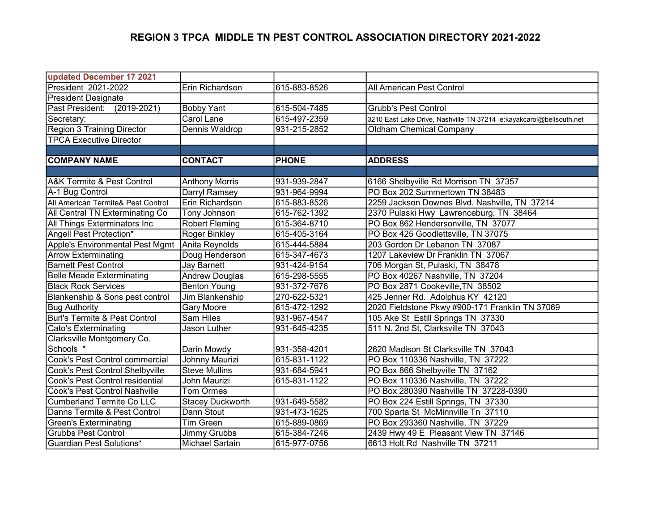## REGION 3 TPCA MIDDLE TN PEST CONTROL ASSOCIATION DIRECTORY 2021-2022

| updated December 17 2021           |                         |              |                                                                     |
|------------------------------------|-------------------------|--------------|---------------------------------------------------------------------|
| President 2021-2022                | Erin Richardson         | 615-883-8526 | All American Pest Control                                           |
| <b>President Designate</b>         |                         |              |                                                                     |
| Past President: (2019-2021)        | <b>Bobby Yant</b>       | 615-504-7485 | <b>Grubb's Pest Control</b>                                         |
| Secretary:                         | <b>Carol Lane</b>       | 615-497-2359 | 3210 East Lake Drive, Nashville TN 37214 e:kayakcarol@bellsouth.net |
| Region 3 Training Director         | Dennis Waldrop          | 931-215-2852 | <b>Oldham Chemical Company</b>                                      |
| <b>TPCA Executive Director</b>     |                         |              |                                                                     |
|                                    |                         |              |                                                                     |
| <b>COMPANY NAME</b>                | <b>CONTACT</b>          | <b>PHONE</b> | <b>ADDRESS</b>                                                      |
|                                    |                         |              |                                                                     |
| A&K Termite & Pest Control         | <b>Anthony Morris</b>   | 931-939-2847 | 6166 Shelbyville Rd Morrison TN 37357                               |
| A-1 Bug Control                    | Darryl Ramsey           | 931-964-9994 | PO Box 202 Summertown TN 38483                                      |
| All American Termite& Pest Control | Erin Richardson         | 615-883-8526 | 2259 Jackson Downes Blvd. Nashville, TN 37214                       |
| All Central TN Exterminating Co    | Tony Johnson            | 615-762-1392 | 2370 Pulaski Hwy Lawrenceburg, TN 38464                             |
| All Things Exterminators Inc       | <b>Robert Fleming</b>   | 615-364-8710 | PO Box 862 Hendersonville, TN 37077                                 |
| Angell Pest Protection*            | Roger Binkley           | 615-405-3164 | PO Box 425 Goodlettsville, TN 37075                                 |
| Apple's Environmental Pest Mgmt    | Anita Reynolds          | 615-444-5884 | 203 Gordon Dr Lebanon TN 37087                                      |
| <b>Arrow Exterminating</b>         | Doug Henderson          | 615-347-4673 | 1207 Lakeview Dr Franklin TN 37067                                  |
| <b>Barnett Pest Control</b>        | <b>Jay Barnett</b>      | 931-424-9154 | 706 Morgan St, Pulaski, TN 38478                                    |
| Belle Meade Exterminating          | <b>Andrew Douglas</b>   | 615-298-5555 | PO Box 40267 Nashville, TN 37204                                    |
| <b>Black Rock Services</b>         | <b>Benton Young</b>     | 931-372-7676 | PO Box 2871 Cookeville, TN 38502                                    |
| Blankenship & Sons pest control    | Jim Blankenship         | 270-622-5321 | 425 Jenner Rd. Adolphus KY 42120                                    |
| <b>Bug Authority</b>               | Gary Moore              | 615-472-1292 | 2020 Fieldstone Pkwy #900-171 Franklin TN 37069                     |
| Burl's Termite & Pest Control      | Sam Hiles               | 931-967-4547 | 105 Ake St Estill Springs TN 37330                                  |
| Cato's Exterminating               | Jason Luther            | 931-645-4235 | 511 N. 2nd St, Clarksville TN 37043                                 |
| Clarksville Montgomery Co.         |                         |              |                                                                     |
| Schools *                          | Darin Mowdy             | 931-358-4201 | 2620 Madison St Clarksville TN 37043                                |
| Cook's Pest Control commercial     | Johnny Maurizi          | 615-831-1122 | PO Box 110336 Nashville, TN 37222                                   |
| Cook's Pest Control Shelbyville    | <b>Steve Mullins</b>    | 931-684-5941 | PO Box 866 Shelbyville TN 37162                                     |
| Cook's Pest Control residential    | <b>John Maurizi</b>     | 615-831-1122 | PO Box 110336 Nashville, TN 37222                                   |
| Cook's Pest Control Nashville      | <b>Tom Ormes</b>        |              | PO Box 280390 Nashville TN 37228-0390                               |
| <b>Cumberland Termite Co LLC</b>   | <b>Stacey Duckworth</b> | 931-649-5582 | PO Box 224 Estill Springs, TN 37330                                 |
| Danns Termite & Pest Control       | Dann Stout              | 931-473-1625 | 700 Sparta St McMinnville Tn 37110                                  |
| Green's Exterminating              | Tim Green               | 615-889-0869 | PO Box 293360 Nashville, TN 37229                                   |
| <b>Grubbs Pest Control</b>         | Jimmy Grubbs            | 615-384-7246 | 2439 Hwy 49 E Pleasant View TN 37146                                |
| Guardian Pest Solutions*           | Michael Sartain         | 615-977-0756 | 6613 Holt Rd Nashville TN 37211                                     |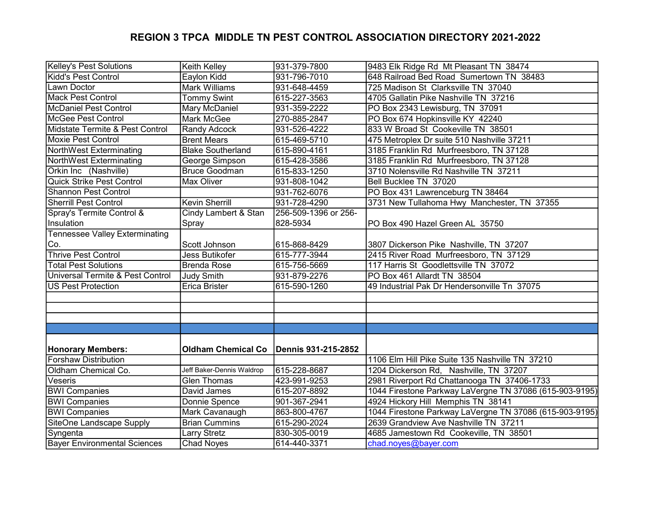## REGION 3 TPCA MIDDLE TN PEST CONTROL ASSOCIATION DIRECTORY 2021-2022

| Kelley's Pest Solutions               | Keith Kelley              | 931-379-7800         | 9483 Elk Ridge Rd Mt Pleasant TN 38474                  |
|---------------------------------------|---------------------------|----------------------|---------------------------------------------------------|
| Kidd's Pest Control                   | Eaylon Kidd               | 931-796-7010         | 648 Railroad Bed Road Sumertown TN 38483                |
| Lawn Doctor                           | Mark Williams             | 931-648-4459         | 725 Madison St Clarksville TN 37040                     |
| Mack Pest Control                     | <b>Tommy Swint</b>        | 615-227-3563         | 4705 Gallatin Pike Nashville TN 37216                   |
| McDaniel Pest Control                 | Mary McDaniel             | 931-359-2222         | PO Box 2343 Lewisburg, TN 37091                         |
| McGee Pest Control                    | Mark McGee                | 270-885-2847         | PO Box 674 Hopkinsville KY 42240                        |
| Midstate Termite & Pest Control       | Randy Adcock              | 931-526-4222         | 833 W Broad St Cookeville TN 38501                      |
| Moxie Pest Control                    | <b>Brent Mears</b>        | 615-469-5710         | 475 Metroplex Dr suite 510 Nashville 37211              |
| NorthWest Exterminating               | <b>Blake Southerland</b>  | 615-890-4161         | 3185 Franklin Rd Murfreesboro, TN 37128                 |
| NorthWest Exterminating               | George Simpson            | 615-428-3586         | 3185 Franklin Rd Murfreesboro, TN 37128                 |
| Orkin Inc (Nashville)                 | <b>Bruce Goodman</b>      | 615-833-1250         | 3710 Nolensville Rd Nashville TN 37211                  |
| <b>Quick Strike Pest Control</b>      | <b>Max Oliver</b>         | 931-808-1042         | Bell Bucklee TN 37020                                   |
| <b>Shannon Pest Control</b>           |                           | 931-762-6076         | PO Box 431 Lawrenceburg TN 38464                        |
| <b>Sherrill Pest Control</b>          | Kevin Sherrill            | 931-728-4290         | 3731 New Tullahoma Hwy Manchester, TN 37355             |
| Spray's Termite Control &             | Cindy Lambert & Stan      | 256-509-1396 or 256- |                                                         |
| Insulation                            | Spray                     | 828-5934             | PO Box 490 Hazel Green AL 35750                         |
| <b>Tennessee Valley Exterminating</b> |                           |                      |                                                         |
| Co.                                   | Scott Johnson             | 615-868-8429         | 3807 Dickerson Pike Nashville, TN 37207                 |
| <b>Thrive Pest Control</b>            | Jess Butikofer            | 615-777-3944         | 2415 River Road Murfreesboro, TN 37129                  |
| <b>Total Pest Solutions</b>           | Brenda Rose               | 615-756-5669         | 117 Harris St Goodlettsville TN 37072                   |
| Universal Termite & Pest Control      | <b>Judy Smith</b>         | 931-879-2276         | PO Box 461 Allardt TN 38504                             |
| <b>US Pest Protection</b>             | Erica Brister             | 615-590-1260         | 49 Industrial Pak Dr Hendersonville Tn 37075            |
|                                       |                           |                      |                                                         |
|                                       |                           |                      |                                                         |
|                                       |                           |                      |                                                         |
|                                       |                           |                      |                                                         |
|                                       |                           |                      |                                                         |
| <b>Honorary Members:</b>              | <b>Oldham Chemical Co</b> | Dennis 931-215-2852  |                                                         |
| <b>Forshaw Distribution</b>           |                           |                      | 1106 Elm Hill Pike Suite 135 Nashville TN 37210         |
| Oldham Chemical Co.                   | Jeff Baker-Dennis Waldrop | 615-228-8687         | 1204 Dickerson Rd, Nashville, TN 37207                  |
| Veseris                               | <b>Glen Thomas</b>        | 423-991-9253         | 2981 Riverport Rd Chattanooga TN 37406-1733             |
| <b>BWI Companies</b>                  | David James               | 615-207-8892         | 1044 Firestone Parkway LaVergne TN 37086 (615-903-9195) |
| <b>BWI Companies</b>                  | Donnie Spence             | 901-367-2941         | 4924 Hickory Hill Memphis TN 38141                      |
| <b>BWI Companies</b>                  | Mark Cavanaugh            | 863-800-4767         | 1044 Firestone Parkway LaVergne TN 37086 (615-903-9195) |
| SiteOne Landscape Supply              | <b>Brian Cummins</b>      | 615-290-2024         | 2639 Grandview Ave Nashville TN 37211                   |
| Syngenta                              | Larry Stretz              | 830-305-0019         | 4685 Jamestown Rd Cookeville, TN 38501                  |
| Bayer Environmental Sciences          | <b>Chad Noyes</b>         | 614-440-3371         | chad.noyes@bayer.com                                    |